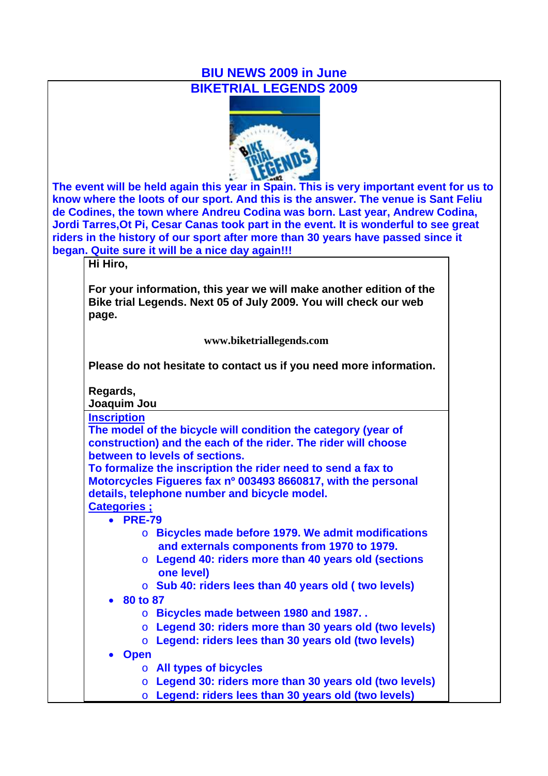## **BIU NEWS 2009 in June BIKETRIAL LEGENDS 2009**



**The event will be held again this year in Spain. This is very important event for us to know where the loots of our sport. And this is the answer. The venue is Sant Feliu de Codines, the town where Andreu Codina was born. Last year, Andrew Codina, Jordi Tarres,Ot Pi, Cesar Canas took part in the event. It is wonderful to see great riders in the history of our sport after more than 30 years have passed since it began. Quite sure it will be a nice day again!!!**

**Hi Hiro,**

**For your information, this year we will make another edition of the Bike trial Legends. Next 05 of July 2009. You will check our web page.** 

**www.biketriallegends.com**

**Please do not hesitate to contact us if you need more information.** 

| <b>Inscription</b>       |                                                                |
|--------------------------|----------------------------------------------------------------|
|                          | The model of the bicycle will condition the category (year of  |
|                          | construction) and the each of the rider. The rider will choose |
|                          | between to levels of sections.                                 |
|                          | To formalize the inscription the rider need to send a fax to   |
|                          | Motorcycles Figueres fax nº 003493 8660817, with the personal  |
|                          | details, telephone number and bicycle model.                   |
| <b>Categories :</b>      |                                                                |
| $\bullet$ PRE-79         |                                                                |
|                          | $\circ$ Bicycles made before 1979. We admit modifications      |
|                          | and externals components from 1970 to 1979.                    |
|                          | $\circ$ Legend 40: riders more than 40 years old (sections     |
|                          | one level)                                                     |
|                          | $\circ$ Sub 40: riders lees than 40 years old (two levels)     |
| $\bullet$ 80 to 87       |                                                                |
| $\circ$                  | Bicycles made between 1980 and 1987                            |
| $\overline{O}$           | Legend 30: riders more than 30 years old (two levels)          |
| $\overline{O}$           | Legend: riders lees than 30 years old (two levels)             |
| <b>Open</b><br>$\bullet$ |                                                                |
|                          |                                                                |
|                          | ○ All types of bicycles                                        |
| $\circ$                  | Legend 30: riders more than 30 years old (two levels)          |
| $\circ$                  | Legend: riders lees than 30 years old (two levels)             |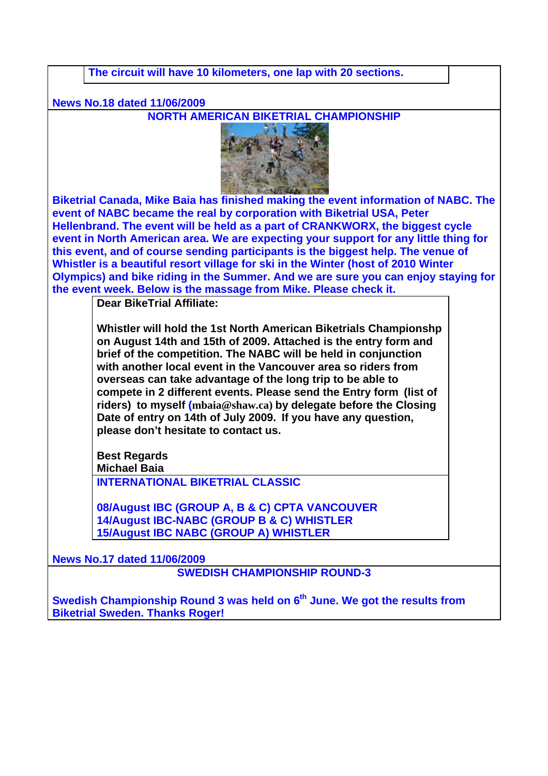**The circuit will have 10 kilometers, one lap with 20 sections.** 

**News No.18 dated 11/06/2009**

**NORTH AMERICAN BIKETRIAL CHAMPIONSHIP**



**Biketrial Canada, Mike Baia has finished making the event information of NABC. The event of NABC became the real by corporation with Biketrial USA, Peter Hellenbrand. The event will be held as a part of CRANKWORX, the biggest cycle event in North American area. We are expecting your support for any little thing for this event, and of course sending participants is the biggest help. The venue of Whistler is a beautiful resort village for ski in the Winter (host of 2010 Winter Olympics) and bike riding in the Summer. And we are sure you can enjoy staying for the event week. Below is the massage from Mike. Please check it.**

**Dear BikeTrial Affiliate:**

**Whistler will hold the 1st North American Biketrials Championshp on August 14th and 15th of 2009. Attached is the entry form and brief of the competition. The NABC will be held in conjunction with another local event in the Vancouver area so riders from overseas can take advantage of the long trip to be able to compete in 2 different events. Please send the Entry form (list of riders) to myself (mbaia@shaw.ca) by delegate before the Closing Date of entry on 14th of July 2009. If you have any question, please don't hesitate to contact us.**

**Best Regards Michael Baia**

**INTERNATIONAL BIKETRIAL CLASSIC**

**08/August IBC (GROUP A, B & C) CPTA VANCOUVER 14/August IBC-NABC (GROUP B & C) WHISTLER 15/August IBC NABC (GROUP A) WHISTLER**

**News No.17 dated 11/06/2009**

**SWEDISH CHAMPIONSHIP ROUND-3**

**Swedish Championship Round 3 was held on 6<sup>th</sup> June. We got the results from Biketrial Sweden. Thanks Roger!**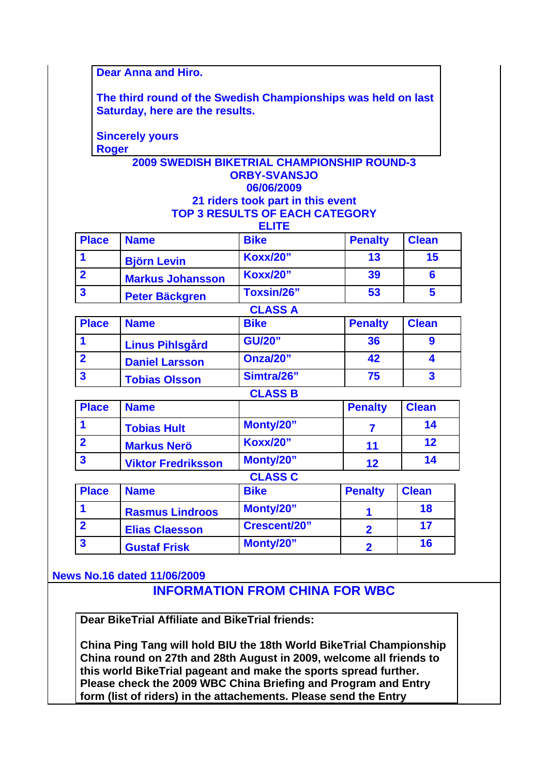**Dear Anna and Hiro.**

**The third round of the Swedish Championships was held on last Saturday, here are the results.**

**Sincerely yours Roger**

### **2009 SWEDISH BIKETRIAL CHAMPIONSHIP ROUND-3 ORBY-SVANSJO 06/06/2009 21 riders took part in this event**

#### **TOP 3 RESULTS OF EACH CATEGORY**

| <b>Place</b>            | <b>Name</b>             | <b>Bike</b>     | <b>Penalty</b> | <b>Clean</b> |
|-------------------------|-------------------------|-----------------|----------------|--------------|
|                         | <b>Björn Levin</b>      | <b>Koxx/20"</b> | 13             | 15           |
|                         | <b>Markus Johansson</b> | <b>Koxx/20"</b> | 39             |              |
| $\overline{\mathbf{3}}$ | <b>Peter Bäckgren</b>   | Toxsin/26"      | 53             |              |
|                         |                         | CI ASS A        |                |              |

|                         |                        | <u>ULAUU A</u> |                |              |  |
|-------------------------|------------------------|----------------|----------------|--------------|--|
| <b>Place</b>            | <b>Name</b>            | <b>Bike</b>    | <b>Penalty</b> | <b>Clean</b> |  |
|                         | <b>Linus Pihlsgård</b> | <b>GU/20"</b>  | 36             |              |  |
|                         | <b>Daniel Larsson</b>  | Onza/20"       | 42             |              |  |
| $\overline{\mathbf{3}}$ | <b>Tobias Olsson</b>   | Simtra/26"     | 75             |              |  |
|                         |                        | <b>CLASS B</b> |                |              |  |

| <b>Place</b>            | <b>Name</b>               |                 | <b>Penalty</b> | <b>Clean</b> |
|-------------------------|---------------------------|-----------------|----------------|--------------|
|                         | <b>Tobias Hult</b>        | Monty/20"       |                | 14           |
|                         | <b>Markus Nerö</b>        | <b>Koxx/20"</b> | 11             | 12           |
| $\overline{\mathbf{3}}$ | <b>Viktor Fredriksson</b> | Monty/20"       | 12             | 14           |
|                         |                           | <b>CLASS C</b>  |                |              |

| <b>Place</b> | <b>Name</b>            | <b>Bike</b>  | <b>Penalty</b> | <b>Clean</b> |
|--------------|------------------------|--------------|----------------|--------------|
|              | <b>Rasmus Lindroos</b> | Monty/20"    |                | 18           |
|              | <b>Elias Claesson</b>  | Crescent/20" |                |              |
|              | <b>Gustaf Frisk</b>    | Monty/20"    |                | 16           |

**News No.16 dated 11/06/2009**

# **INFORMATION FROM CHINA FOR WBC**

**Dear BikeTrial Affiliate and BikeTrial friends:**

**China Ping Tang will hold BIU the 18th World BikeTrial Championship China round on 27th and 28th August in 2009, welcome all friends to this world BikeTrial pageant and make the sports spread further. Please check the 2009 WBC China Briefing and Program and Entry form (list of riders) in the attachements. Please send the Entry**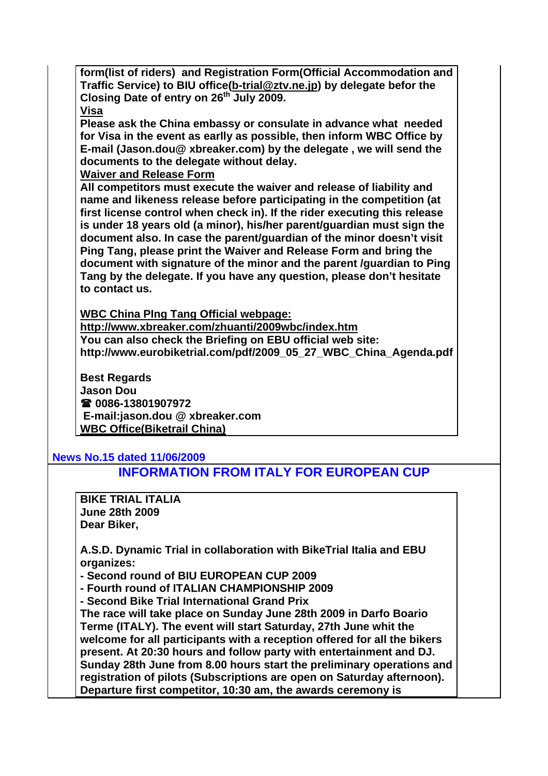**form(list of riders) and Registration Form(Official Accommodation and Traffic Service) to BIU office(b-trial@ztv.ne.jp) by delegate befor the Closing Date of entry on 26th July 2009.**

### **Visa**

**Please ask the China embassy or consulate in advance what needed for Visa in the event as earlly as possible, then inform WBC Office by E-mail (Jason.dou@ xbreaker.com) by the delegate , we will send the documents to the delegate without delay.**

**Waiver and Release Form**

**All competitors must execute the waiver and release of liability and name and likeness release before participating in the competition (at first license control when check in). If the rider executing this release is under 18 years old (a minor), his/her parent/guardian must sign the document also. In case the parent/guardian of the minor doesn't visit Ping Tang, please print the Waiver and Release Form and bring the document with signature of the minor and the parent /guardian to Ping Tang by the delegate. If you have any question, please don't hesitate to contact us.** 

**WBC China PIng Tang Official webpage:** 

**http://www.xbreaker.com/zhuanti/2009wbc/index.htm You can also check the Briefing on EBU official web site: http://www.eurobiketrial.com/pdf/2009\_05\_27\_WBC\_China\_Agenda.pdf**

**Best Regards Jason Dou 0086-13801907972 E-mail:jason.dou @ xbreaker.com WBC Office(Biketrail China)**

### **News No.15 dated 11/06/2009**

## **INFORMATION FROM ITALY FOR EUROPEAN CUP**

**BIKE TRIAL ITALIA June 28th 2009 Dear Biker,**

**A.S.D. Dynamic Trial in collaboration with BikeTrial Italia and EBU organizes:**

**- Second round of BIU EUROPEAN CUP 2009**

**- Fourth round of ITALIAN CHAMPIONSHIP 2009**

**- Second Bike Trial International Grand Prix**

**The race will take place on Sunday June 28th 2009 in Darfo Boario Terme (ITALY). The event will start Saturday, 27th June whit the welcome for all participants with a reception offered for all the bikers present. At 20:30 hours and follow party with entertainment and DJ. Sunday 28th June from 8.00 hours start the preliminary operations and registration of pilots (Subscriptions are open on Saturday afternoon). Departure first competitor, 10:30 am, the awards ceremony is**